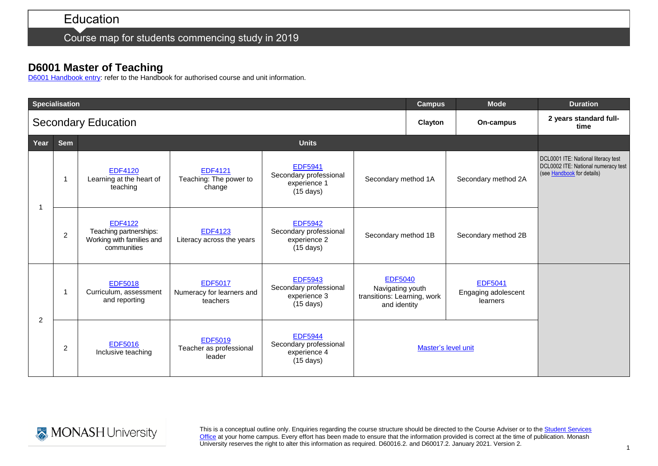### Education

Course map for students commencing study in 2019

#### **D6001 Master of Teaching**

[D6001 Handbook entry:](http://www.monash.edu.au/pubs/2019handbooks/courses/D6001.html) refer to the Handbook for authorised course and unit information.

|                | <b>Specialisation</b> |                                                                                      |                                                         | <b>Campus</b>                                                                   | <b>Mode</b>                                                                       | <b>Duration</b>                |                                                   |                                                                                                          |
|----------------|-----------------------|--------------------------------------------------------------------------------------|---------------------------------------------------------|---------------------------------------------------------------------------------|-----------------------------------------------------------------------------------|--------------------------------|---------------------------------------------------|----------------------------------------------------------------------------------------------------------|
|                |                       | <b>Secondary Education</b>                                                           |                                                         | Clayton                                                                         | On-campus                                                                         | 2 years standard full-<br>time |                                                   |                                                                                                          |
| Year           | <b>Sem</b>            |                                                                                      |                                                         |                                                                                 |                                                                                   |                                |                                                   |                                                                                                          |
|                | 1                     | <b>EDF4120</b><br>Learning at the heart of<br>teaching                               | <b>EDF4121</b><br>Teaching: The power to<br>change      | <b>EDF5941</b><br>Secondary professional<br>experience 1<br>$(15 \text{ days})$ | Secondary method 1A                                                               |                                | Secondary method 2A                               | DCL0001 ITE: National literacy test<br>DCL0002 ITE: National numeracy test<br>(see Handbook for details) |
|                | $\overline{c}$        | <b>EDF4122</b><br>Teaching partnerships:<br>Working with families and<br>communities | <b>EDF4123</b><br>Literacy across the years             | <b>EDF5942</b><br>Secondary professional<br>experience 2<br>$(15 \text{ days})$ | Secondary method 1B                                                               |                                | Secondary method 2B                               |                                                                                                          |
| $\overline{2}$ | -1                    | <b>EDF5018</b><br>Curriculum, assessment<br>and reporting                            | <b>EDF5017</b><br>Numeracy for learners and<br>teachers | <b>EDF5943</b><br>Secondary professional<br>experience 3<br>$(15 \text{ days})$ | <b>EDF5040</b><br>Navigating youth<br>transitions: Learning, work<br>and identity |                                | <b>EDF5041</b><br>Engaging adolescent<br>learners |                                                                                                          |
|                | 2                     | <b>EDF5016</b><br>Inclusive teaching                                                 | <b>EDF5019</b><br>Teacher as professional<br>leader     | <b>EDF5944</b><br>Secondary professional<br>experience 4<br>$(15 \text{ days})$ | Master's level unit                                                               |                                |                                                   |                                                                                                          |



This is a conceptual outline only. Enquiries regarding the course structure should be directed to the Course Adviser or to the Student Services [Office](https://www.monash.edu/education/current-students/contact) at your home campus. Every effort has been made to ensure that the information provided is correct at the time of publication. Monash University reserves the right to alter this information as required. D60016.2. and D60017.2. January 2021. Version 2.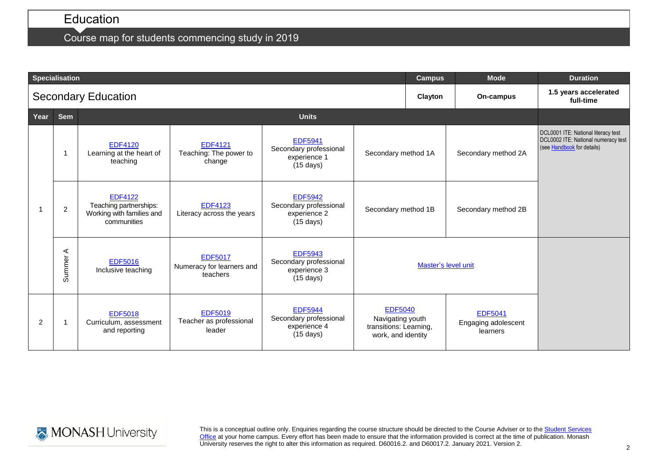# Education

## Course map for students commencing study in 2019

|                | <b>Specialisation</b> |                                                                                      |                                                         | <b>Campus</b>                                                                   | <b>Mode</b>                                                                        | <b>Duration</b>                    |                                                   |                                                                                                          |
|----------------|-----------------------|--------------------------------------------------------------------------------------|---------------------------------------------------------|---------------------------------------------------------------------------------|------------------------------------------------------------------------------------|------------------------------------|---------------------------------------------------|----------------------------------------------------------------------------------------------------------|
|                |                       | <b>Secondary Education</b>                                                           |                                                         | Clayton                                                                         | On-campus                                                                          | 1.5 years accelerated<br>full-time |                                                   |                                                                                                          |
| Year           | <b>Sem</b>            |                                                                                      |                                                         |                                                                                 |                                                                                    |                                    |                                                   |                                                                                                          |
|                |                       | <b>EDF4120</b><br>Learning at the heart of<br>teaching                               | <b>EDF4121</b><br>Teaching: The power to<br>change      | <b>EDF5941</b><br>Secondary professional<br>experience 1<br>$(15 \text{ days})$ | Secondary method 1A                                                                |                                    | Secondary method 2A                               | DCL0001 ITE: National literacy test<br>DCL0002 ITE: National numeracy test<br>(see Handbook for details) |
|                | $\overline{2}$        | <b>EDF4122</b><br>Teaching partnerships:<br>Working with families and<br>communities | <b>EDF4123</b><br>Literacy across the years             | <b>EDF5942</b><br>Secondary professional<br>experience 2<br>$(15 \text{ days})$ | Secondary method 1B                                                                |                                    | Secondary method 2B                               |                                                                                                          |
|                | ⋖<br><b>Summer</b>    | <b>EDF5016</b><br>Inclusive teaching                                                 | <b>EDF5017</b><br>Numeracy for learners and<br>teachers | <b>EDF5943</b><br>Secondary professional<br>experience 3<br>$(15 \text{ days})$ | Master's level unit                                                                |                                    |                                                   |                                                                                                          |
| $\overline{2}$ | -1                    | <b>EDF5018</b><br>Curriculum, assessment<br>and reporting                            | <b>EDF5019</b><br>Teacher as professional<br>leader     | <b>EDF5944</b><br>Secondary professional<br>experience 4<br>$(15 \text{ days})$ | <b>EDF5040</b><br>Navigating youth<br>transitions: Learning,<br>work, and identity |                                    | <b>EDF5041</b><br>Engaging adolescent<br>learners |                                                                                                          |



This is a conceptual outline only. Enquiries regarding the course structure should be directed to the Course Adviser or to the Student Services [Office](https://www.monash.edu/education/current-students/contact) at your home campus. Every effort has been made to ensure that the information provided is correct at the time of publication. Monash University reserves the right to alter this information as required. D60016.2. and D60017.2. January 2021. Version 2.